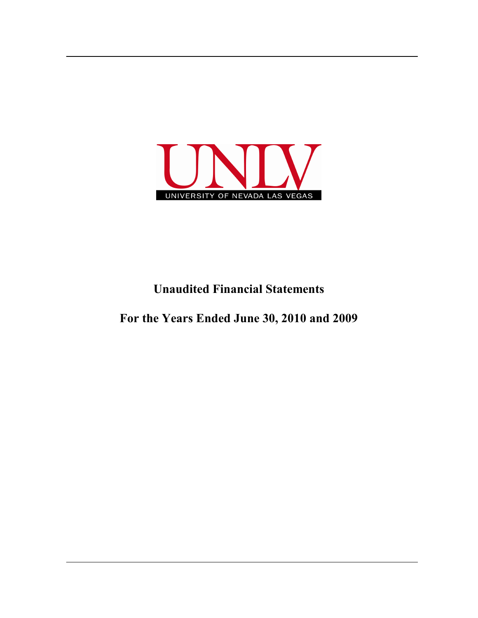

## **Unaudited Financial Statements**

**For the Years Ended June 30, 2010 and 2009**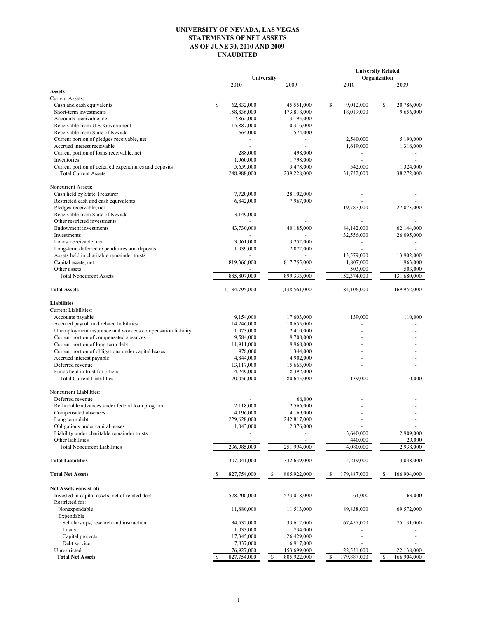## **UNIVERSITY OF NEVADA, LAS VEGAS STATEMENTS OF NET ASSETS AS OF JUNE 30, 2010 AND 2009 UNAUDITED**

| Organization<br>University<br>2010<br>2009<br>2010<br><b>Assets</b><br><b>Current Assets:</b><br>\$<br>\$<br>Cash and cash equivalents<br>62,832,000<br>45,551,000<br>\$<br>9,012,000<br>Short-term investments<br>158,836,000<br>173,818,000<br>18,019,000<br>Accounts receivable, net<br>2,862,000<br>3,195,000<br>Receivable from U.S. Government<br>15,887,000<br>10,316,000<br>Receivable from State of Nevada<br>574,000<br>664,000<br>Current portion of pledges receivable, net<br>2,540,000<br>Accrued interest receivable<br>1,619,000<br>Current portion of loans receivable, net<br>288,000<br>498,000<br>$\blacksquare$<br>Inventories<br>1,960,000<br>1,798,000<br>Current portion of deferred expenditures and deposits<br>5,659,000<br>3,478,000<br>542,000<br><b>Total Current Assets</b><br>239,228,000<br>31,732,000<br>248,988,000<br>Noncurrent Assets:<br>Cash held by State Treasurer<br>7,720,000<br>28,102,000<br>Restricted cash and cash equivalents<br>6,842,000<br>7,967,000<br>19,787,000<br>Pledges receivable, net<br>Receivable from State of Nevada<br>3,149,000<br>Other restricted investments | <b>University Related</b> |  |  |  |  |
|------------------------------------------------------------------------------------------------------------------------------------------------------------------------------------------------------------------------------------------------------------------------------------------------------------------------------------------------------------------------------------------------------------------------------------------------------------------------------------------------------------------------------------------------------------------------------------------------------------------------------------------------------------------------------------------------------------------------------------------------------------------------------------------------------------------------------------------------------------------------------------------------------------------------------------------------------------------------------------------------------------------------------------------------------------------------------------------------------------------------------------|---------------------------|--|--|--|--|
|                                                                                                                                                                                                                                                                                                                                                                                                                                                                                                                                                                                                                                                                                                                                                                                                                                                                                                                                                                                                                                                                                                                                    | 2009                      |  |  |  |  |
|                                                                                                                                                                                                                                                                                                                                                                                                                                                                                                                                                                                                                                                                                                                                                                                                                                                                                                                                                                                                                                                                                                                                    |                           |  |  |  |  |
|                                                                                                                                                                                                                                                                                                                                                                                                                                                                                                                                                                                                                                                                                                                                                                                                                                                                                                                                                                                                                                                                                                                                    |                           |  |  |  |  |
|                                                                                                                                                                                                                                                                                                                                                                                                                                                                                                                                                                                                                                                                                                                                                                                                                                                                                                                                                                                                                                                                                                                                    | 20,786,000                |  |  |  |  |
|                                                                                                                                                                                                                                                                                                                                                                                                                                                                                                                                                                                                                                                                                                                                                                                                                                                                                                                                                                                                                                                                                                                                    | 9,656,000                 |  |  |  |  |
|                                                                                                                                                                                                                                                                                                                                                                                                                                                                                                                                                                                                                                                                                                                                                                                                                                                                                                                                                                                                                                                                                                                                    |                           |  |  |  |  |
|                                                                                                                                                                                                                                                                                                                                                                                                                                                                                                                                                                                                                                                                                                                                                                                                                                                                                                                                                                                                                                                                                                                                    |                           |  |  |  |  |
|                                                                                                                                                                                                                                                                                                                                                                                                                                                                                                                                                                                                                                                                                                                                                                                                                                                                                                                                                                                                                                                                                                                                    |                           |  |  |  |  |
|                                                                                                                                                                                                                                                                                                                                                                                                                                                                                                                                                                                                                                                                                                                                                                                                                                                                                                                                                                                                                                                                                                                                    | 5,190,000                 |  |  |  |  |
|                                                                                                                                                                                                                                                                                                                                                                                                                                                                                                                                                                                                                                                                                                                                                                                                                                                                                                                                                                                                                                                                                                                                    | 1,316,000                 |  |  |  |  |
|                                                                                                                                                                                                                                                                                                                                                                                                                                                                                                                                                                                                                                                                                                                                                                                                                                                                                                                                                                                                                                                                                                                                    |                           |  |  |  |  |
|                                                                                                                                                                                                                                                                                                                                                                                                                                                                                                                                                                                                                                                                                                                                                                                                                                                                                                                                                                                                                                                                                                                                    | 1,324,000                 |  |  |  |  |
|                                                                                                                                                                                                                                                                                                                                                                                                                                                                                                                                                                                                                                                                                                                                                                                                                                                                                                                                                                                                                                                                                                                                    | 38,272,000                |  |  |  |  |
|                                                                                                                                                                                                                                                                                                                                                                                                                                                                                                                                                                                                                                                                                                                                                                                                                                                                                                                                                                                                                                                                                                                                    |                           |  |  |  |  |
|                                                                                                                                                                                                                                                                                                                                                                                                                                                                                                                                                                                                                                                                                                                                                                                                                                                                                                                                                                                                                                                                                                                                    |                           |  |  |  |  |
|                                                                                                                                                                                                                                                                                                                                                                                                                                                                                                                                                                                                                                                                                                                                                                                                                                                                                                                                                                                                                                                                                                                                    |                           |  |  |  |  |
|                                                                                                                                                                                                                                                                                                                                                                                                                                                                                                                                                                                                                                                                                                                                                                                                                                                                                                                                                                                                                                                                                                                                    | 27,073,000                |  |  |  |  |
|                                                                                                                                                                                                                                                                                                                                                                                                                                                                                                                                                                                                                                                                                                                                                                                                                                                                                                                                                                                                                                                                                                                                    |                           |  |  |  |  |
|                                                                                                                                                                                                                                                                                                                                                                                                                                                                                                                                                                                                                                                                                                                                                                                                                                                                                                                                                                                                                                                                                                                                    |                           |  |  |  |  |
| <b>Endowment</b> investments<br>43,730,000<br>40,185,000<br>84,142,000                                                                                                                                                                                                                                                                                                                                                                                                                                                                                                                                                                                                                                                                                                                                                                                                                                                                                                                                                                                                                                                             | 62,144,000                |  |  |  |  |
| 32,556,000<br><b>Investments</b>                                                                                                                                                                                                                                                                                                                                                                                                                                                                                                                                                                                                                                                                                                                                                                                                                                                                                                                                                                                                                                                                                                   | 26,095,000                |  |  |  |  |
| 3,061,000<br>3,252,000<br>Loans receivable, net                                                                                                                                                                                                                                                                                                                                                                                                                                                                                                                                                                                                                                                                                                                                                                                                                                                                                                                                                                                                                                                                                    |                           |  |  |  |  |
| Long-term deferred expenditures and deposits<br>1,939,000<br>2,072,000                                                                                                                                                                                                                                                                                                                                                                                                                                                                                                                                                                                                                                                                                                                                                                                                                                                                                                                                                                                                                                                             |                           |  |  |  |  |
| Assets held in charitable remainder trusts<br>13,579,000                                                                                                                                                                                                                                                                                                                                                                                                                                                                                                                                                                                                                                                                                                                                                                                                                                                                                                                                                                                                                                                                           | 13,902,000                |  |  |  |  |
| Capital assets, net<br>819,366,000<br>817,755,000<br>1,807,000                                                                                                                                                                                                                                                                                                                                                                                                                                                                                                                                                                                                                                                                                                                                                                                                                                                                                                                                                                                                                                                                     | 1,963,000                 |  |  |  |  |
| Other assets<br>503,000                                                                                                                                                                                                                                                                                                                                                                                                                                                                                                                                                                                                                                                                                                                                                                                                                                                                                                                                                                                                                                                                                                            | 503,000                   |  |  |  |  |
| 885,807,000<br>899,333,000<br>152,374,000<br><b>Total Noncurrent Assets</b>                                                                                                                                                                                                                                                                                                                                                                                                                                                                                                                                                                                                                                                                                                                                                                                                                                                                                                                                                                                                                                                        | 131,680,000               |  |  |  |  |
| 1,138,561,000<br>184,106,000<br><b>Total Assets</b><br>1,134,795,000                                                                                                                                                                                                                                                                                                                                                                                                                                                                                                                                                                                                                                                                                                                                                                                                                                                                                                                                                                                                                                                               | 169,952,000               |  |  |  |  |
| <b>Liabilities</b>                                                                                                                                                                                                                                                                                                                                                                                                                                                                                                                                                                                                                                                                                                                                                                                                                                                                                                                                                                                                                                                                                                                 |                           |  |  |  |  |
| Current Liabilities:                                                                                                                                                                                                                                                                                                                                                                                                                                                                                                                                                                                                                                                                                                                                                                                                                                                                                                                                                                                                                                                                                                               |                           |  |  |  |  |
| 9,154,000<br>17,603,000<br>139,000<br>Accounts payable                                                                                                                                                                                                                                                                                                                                                                                                                                                                                                                                                                                                                                                                                                                                                                                                                                                                                                                                                                                                                                                                             | 110,000                   |  |  |  |  |
| Accrued payroll and related liabilities<br>14,246,000<br>10,655,000                                                                                                                                                                                                                                                                                                                                                                                                                                                                                                                                                                                                                                                                                                                                                                                                                                                                                                                                                                                                                                                                |                           |  |  |  |  |
| Unemployment insurance and worker's compensation liability<br>1,973,000<br>2,410,000                                                                                                                                                                                                                                                                                                                                                                                                                                                                                                                                                                                                                                                                                                                                                                                                                                                                                                                                                                                                                                               |                           |  |  |  |  |
| Current portion of compensated absences<br>9,708,000<br>9,584,000                                                                                                                                                                                                                                                                                                                                                                                                                                                                                                                                                                                                                                                                                                                                                                                                                                                                                                                                                                                                                                                                  |                           |  |  |  |  |
| Current portion of long term debt<br>11,911,000<br>9,968,000                                                                                                                                                                                                                                                                                                                                                                                                                                                                                                                                                                                                                                                                                                                                                                                                                                                                                                                                                                                                                                                                       |                           |  |  |  |  |
| Current portion of obligations under capital leases<br>978,000<br>1,344,000                                                                                                                                                                                                                                                                                                                                                                                                                                                                                                                                                                                                                                                                                                                                                                                                                                                                                                                                                                                                                                                        |                           |  |  |  |  |
| Accrued interest payable<br>4,844,000<br>4,902,000                                                                                                                                                                                                                                                                                                                                                                                                                                                                                                                                                                                                                                                                                                                                                                                                                                                                                                                                                                                                                                                                                 |                           |  |  |  |  |
| Deferred revenue<br>13,117,000<br>15,663,000                                                                                                                                                                                                                                                                                                                                                                                                                                                                                                                                                                                                                                                                                                                                                                                                                                                                                                                                                                                                                                                                                       |                           |  |  |  |  |
| Funds held in trust for others<br>4,249,000<br>8,392,000                                                                                                                                                                                                                                                                                                                                                                                                                                                                                                                                                                                                                                                                                                                                                                                                                                                                                                                                                                                                                                                                           |                           |  |  |  |  |
| 139,000<br><b>Total Current Liabilities</b><br>70,056,000<br>80,645,000                                                                                                                                                                                                                                                                                                                                                                                                                                                                                                                                                                                                                                                                                                                                                                                                                                                                                                                                                                                                                                                            | 110.000                   |  |  |  |  |
| Noncurrent Liabilities:                                                                                                                                                                                                                                                                                                                                                                                                                                                                                                                                                                                                                                                                                                                                                                                                                                                                                                                                                                                                                                                                                                            |                           |  |  |  |  |
| Deferred revenue<br>66,000                                                                                                                                                                                                                                                                                                                                                                                                                                                                                                                                                                                                                                                                                                                                                                                                                                                                                                                                                                                                                                                                                                         |                           |  |  |  |  |
| Refundable advances under federal loan program<br>2,118,000<br>2,566,000                                                                                                                                                                                                                                                                                                                                                                                                                                                                                                                                                                                                                                                                                                                                                                                                                                                                                                                                                                                                                                                           |                           |  |  |  |  |
| Compensated absences<br>4,196,000<br>4,169,000                                                                                                                                                                                                                                                                                                                                                                                                                                                                                                                                                                                                                                                                                                                                                                                                                                                                                                                                                                                                                                                                                     |                           |  |  |  |  |
| Long term debt<br>229,628,000<br>242,817,000                                                                                                                                                                                                                                                                                                                                                                                                                                                                                                                                                                                                                                                                                                                                                                                                                                                                                                                                                                                                                                                                                       |                           |  |  |  |  |
| Obligations under capital leases<br>1,043,000<br>2,376,000                                                                                                                                                                                                                                                                                                                                                                                                                                                                                                                                                                                                                                                                                                                                                                                                                                                                                                                                                                                                                                                                         |                           |  |  |  |  |
| Liability under charitable remainder trusts<br>3,640,000                                                                                                                                                                                                                                                                                                                                                                                                                                                                                                                                                                                                                                                                                                                                                                                                                                                                                                                                                                                                                                                                           | 2,909,000                 |  |  |  |  |
| Other liabilities<br>440,000                                                                                                                                                                                                                                                                                                                                                                                                                                                                                                                                                                                                                                                                                                                                                                                                                                                                                                                                                                                                                                                                                                       | 29,000                    |  |  |  |  |
| 236,985,000<br>251,994,000<br>4,080,000<br><b>Total Noncurrent Liabilities</b>                                                                                                                                                                                                                                                                                                                                                                                                                                                                                                                                                                                                                                                                                                                                                                                                                                                                                                                                                                                                                                                     | 2,938,000                 |  |  |  |  |
| 307,041,000<br><b>Total Liabilities</b><br>332,639,000<br>4,219,000                                                                                                                                                                                                                                                                                                                                                                                                                                                                                                                                                                                                                                                                                                                                                                                                                                                                                                                                                                                                                                                                | 3,048,000                 |  |  |  |  |
| $\mathbb{S}$<br>179,887,000<br>\$<br><b>Total Net Assets</b><br>827,754,000<br>805,922,000<br>S<br>-S                                                                                                                                                                                                                                                                                                                                                                                                                                                                                                                                                                                                                                                                                                                                                                                                                                                                                                                                                                                                                              | 166,904,000               |  |  |  |  |
|                                                                                                                                                                                                                                                                                                                                                                                                                                                                                                                                                                                                                                                                                                                                                                                                                                                                                                                                                                                                                                                                                                                                    |                           |  |  |  |  |
| Net Assets consist of:                                                                                                                                                                                                                                                                                                                                                                                                                                                                                                                                                                                                                                                                                                                                                                                                                                                                                                                                                                                                                                                                                                             |                           |  |  |  |  |
| Invested in capital assets, net of related debt<br>578,200,000<br>61,000<br>573,018,000                                                                                                                                                                                                                                                                                                                                                                                                                                                                                                                                                                                                                                                                                                                                                                                                                                                                                                                                                                                                                                            | 63,000                    |  |  |  |  |
| Restricted for:                                                                                                                                                                                                                                                                                                                                                                                                                                                                                                                                                                                                                                                                                                                                                                                                                                                                                                                                                                                                                                                                                                                    |                           |  |  |  |  |
| Nonexpendable<br>11,880,000<br>11,513,000<br>89,838,000                                                                                                                                                                                                                                                                                                                                                                                                                                                                                                                                                                                                                                                                                                                                                                                                                                                                                                                                                                                                                                                                            | 69,572,000                |  |  |  |  |
| Expendable                                                                                                                                                                                                                                                                                                                                                                                                                                                                                                                                                                                                                                                                                                                                                                                                                                                                                                                                                                                                                                                                                                                         |                           |  |  |  |  |
| Scholarships, research and instruction<br>34,532,000<br>67,457,000<br>33,612,000<br>Loans                                                                                                                                                                                                                                                                                                                                                                                                                                                                                                                                                                                                                                                                                                                                                                                                                                                                                                                                                                                                                                          | 75,131,000                |  |  |  |  |
| 1,033,000<br>734,000<br>17,345,000<br>26,429,000                                                                                                                                                                                                                                                                                                                                                                                                                                                                                                                                                                                                                                                                                                                                                                                                                                                                                                                                                                                                                                                                                   |                           |  |  |  |  |
| Capital projects<br>Debt service<br>7,837,000<br>6,917,000                                                                                                                                                                                                                                                                                                                                                                                                                                                                                                                                                                                                                                                                                                                                                                                                                                                                                                                                                                                                                                                                         |                           |  |  |  |  |
| Unrestricted<br>176,927,000<br>153,699,000<br>22,531,000                                                                                                                                                                                                                                                                                                                                                                                                                                                                                                                                                                                                                                                                                                                                                                                                                                                                                                                                                                                                                                                                           | 22,138,000                |  |  |  |  |
| 827,754,000<br>$\mathbb{S}$<br>805,922,000<br>179,887,000<br><b>Total Net Assets</b><br>S<br>S<br>S                                                                                                                                                                                                                                                                                                                                                                                                                                                                                                                                                                                                                                                                                                                                                                                                                                                                                                                                                                                                                                | 166,904,000               |  |  |  |  |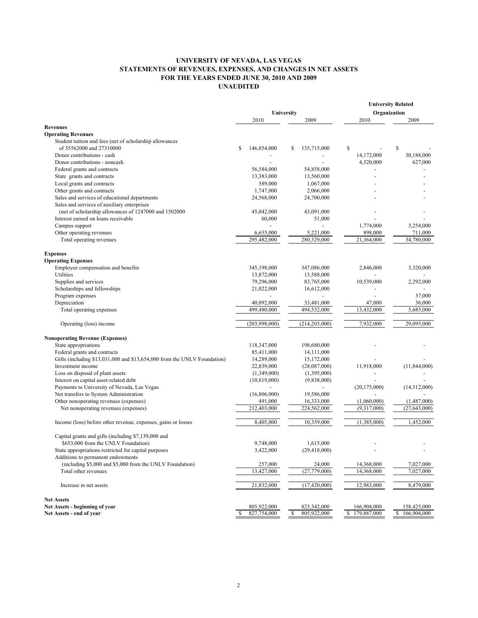## **UNIVERSITY OF NEVADA, LAS VEGAS STATEMENTS OF REVENUES, EXPENSES, AND CHANGES IN NET ASSETS FOR THE YEARS ENDED JUNE 30, 2010 AND 2009 UNAUDITED**

|                                                                          |            |                |    |                 |              |                | <b>University Related</b> |                |  |  |  |
|--------------------------------------------------------------------------|------------|----------------|----|-----------------|--------------|----------------|---------------------------|----------------|--|--|--|
|                                                                          | University |                |    |                 | Organization |                |                           |                |  |  |  |
|                                                                          |            | 2010           |    | 2009            |              | 2010           |                           | 2009           |  |  |  |
| <b>Revenues</b>                                                          |            |                |    |                 |              |                |                           |                |  |  |  |
| <b>Operating Revenues</b>                                                |            |                |    |                 |              |                |                           |                |  |  |  |
| Student tuition and fees (net of scholarship allowances                  |            |                |    |                 |              |                |                           |                |  |  |  |
| of 35562000 and 27310000                                                 | \$         | 146,854,000    | \$ | 135,715,000     | \$           |                | \$                        |                |  |  |  |
| Donor contributions - cash                                               |            |                |    |                 |              | 14,172,000     |                           | 30,188,000     |  |  |  |
| Donor contributions - noncash                                            |            |                |    |                 |              | 4,520,000      |                           | 627,000        |  |  |  |
| Federal grants and contracts                                             |            | 56,584,000     |    | 54,858,000      |              |                |                           |                |  |  |  |
| State grants and contracts                                               |            | 13,383,000     |    | 13,560,000      |              |                |                           |                |  |  |  |
| Local grants and contracts                                               |            | 589,000        |    | 1,067,000       |              |                |                           |                |  |  |  |
| Other grants and contracts                                               |            | 1,747,000      |    | 2,066,000       |              |                |                           |                |  |  |  |
| Sales and services of educational departments                            |            | 24,568,000     |    | 24,700,000      |              |                |                           |                |  |  |  |
| Sales and services of auxiliary enterprises                              |            |                |    |                 |              |                |                           |                |  |  |  |
| (net of scholarship allowances of 1247000 and 1502000                    |            | 45,042,000     |    | 43,091,000      |              |                |                           |                |  |  |  |
| Interest earned on loans receivable                                      |            | 60,000         |    | 51,000          |              |                |                           |                |  |  |  |
| Campus support                                                           |            |                |    |                 |              | 1,774,000      |                           | 3,254,000      |  |  |  |
| Other operating revenues                                                 |            | 6,655,000      |    | 5,221,000       |              | 898,000        |                           | 711,000        |  |  |  |
| Total operating revenues                                                 |            | 295,482,000    |    | 280,329,000     |              | 21,364,000     |                           | 34,780,000     |  |  |  |
|                                                                          |            |                |    |                 |              |                |                           |                |  |  |  |
|                                                                          |            |                |    |                 |              |                |                           |                |  |  |  |
| <b>Expenses</b>                                                          |            |                |    |                 |              |                |                           |                |  |  |  |
| <b>Operating Expenses</b>                                                |            |                |    |                 |              |                |                           |                |  |  |  |
| Employee compensation and benefits                                       |            | 345,198,000    |    | 347,086,000     |              | 2,846,000      |                           | 3,320,000      |  |  |  |
| Utilities                                                                |            | 13,872,000     |    | 13,588,000      |              |                |                           |                |  |  |  |
| Supplies and services                                                    |            | 79,296,000     |    | 83,765,000      |              | 10,539,000     |                           | 2,292,000      |  |  |  |
| Scholarships and fellowships                                             |            | 21,022,000     |    | 16,612,000      |              |                |                           |                |  |  |  |
| Program expenses                                                         |            |                |    |                 |              |                |                           | 37,000         |  |  |  |
| Depreciation                                                             |            | 40,092,000     |    | 33,481,000      |              | 47,000         |                           | 36,000         |  |  |  |
| Total operating expenses                                                 |            | 499,480,000    |    | 494,532,000     |              | 13,432,000     |                           | 5,685,000      |  |  |  |
|                                                                          |            |                |    |                 |              |                |                           |                |  |  |  |
| Operating (loss) income                                                  |            | (203,998,000)  |    | (214, 203, 000) |              | 7,932,000      |                           | 29,095,000     |  |  |  |
|                                                                          |            |                |    |                 |              |                |                           |                |  |  |  |
| <b>Nonoperating Revenue (Expenses)</b>                                   |            |                |    |                 |              |                |                           |                |  |  |  |
| State appropriations                                                     |            | 118,347,000    |    | 198,680,000     |              |                |                           |                |  |  |  |
| Federal grants and contracts                                             |            | 85,411,000     |    | 14, 111, 000    |              |                |                           |                |  |  |  |
| Gifts (including \$13,031,000 and \$13,654,000 from the UNLV Foundation) |            | 14,289,000     |    | 15,172,000      |              |                |                           |                |  |  |  |
| Investment income                                                        |            | 22,839,000     |    | (28,087,000)    |              | 11,918,000     |                           | (11,844,000)   |  |  |  |
| Loss on disposal of plant assets                                         |            | (1,349,000)    |    | (1,395,000)     |              |                |                           |                |  |  |  |
| Interest on capital asset-related debt                                   |            | (10, 819, 000) |    | (9,838,000)     |              |                |                           |                |  |  |  |
| Payments to University of Nevada, Las Vegas                              |            |                |    |                 |              | (20, 175, 000) |                           | (14,312,000)   |  |  |  |
| Net transfers to System Administration                                   |            | (16,806,000)   |    | 19,586,000      |              |                |                           |                |  |  |  |
| Other nonoperating revenues (expenses)                                   |            | 491,000        |    | 16,333,000      |              | (1,060,000)    |                           | (1,487,000)    |  |  |  |
| Net nonoperating revenues (expenses)                                     |            | 212,403,000    |    | 224,562,000     |              | (9,317,000)    |                           | (27, 643, 000) |  |  |  |
|                                                                          |            |                |    |                 |              |                |                           |                |  |  |  |
| Income (loss) before other revenue, expenses, gains or losses            |            | 8,405,000      |    | 10,359,000      |              | (1,385,000)    |                           | 1,452,000      |  |  |  |
|                                                                          |            |                |    |                 |              |                |                           |                |  |  |  |
| Capital grants and gifts (including \$7,139,000 and                      |            |                |    |                 |              |                |                           |                |  |  |  |
| \$653,000 from the UNLV Foundation)                                      |            | 9,748,000      |    | 1,615,000       |              |                |                           |                |  |  |  |
| State appropriations restricted for capital purposes                     |            | 3,422,000      |    | (29, 418, 000)  |              |                |                           |                |  |  |  |
| Additions to permanent endowments                                        |            |                |    |                 |              |                |                           |                |  |  |  |
| (including \$5,000 and \$5,000 from the UNLV Foundation)                 |            | 257,000        |    | 24,000          |              | 14,368,000     |                           | 7,027,000      |  |  |  |
| Total other revenues                                                     |            | 13,427,000     |    | (27, 779, 000)  |              | 14,368,000     |                           | 7,027,000      |  |  |  |
|                                                                          |            |                |    |                 |              |                |                           |                |  |  |  |
| Increase in net assets                                                   |            | 21,832,000     |    | (17, 420, 000)  |              | 12,983,000     |                           | 8,479,000      |  |  |  |
|                                                                          |            |                |    |                 |              |                |                           |                |  |  |  |
| <b>Net Assets</b>                                                        |            |                |    |                 |              |                |                           |                |  |  |  |
| Net Assets - beginning of year                                           |            | 805,922,000    |    | 823,342,000     |              | 166,904,000    |                           | 158,425,000    |  |  |  |
| Net Assets - end of year                                                 |            | 827,754,000    | S  | 805,922,000     | \$           | 179,887,000    | \$                        | 166,904,000    |  |  |  |